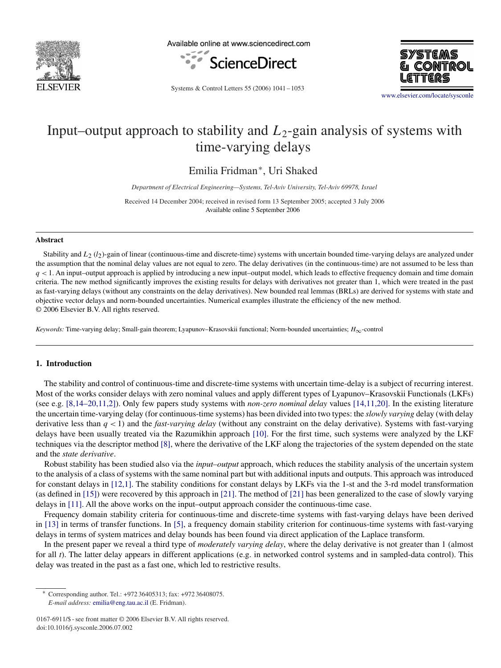

Available online at www.sciencedirect.com





Systems & Control Letters 55 (2006) 1041 – 1053

[www.elsevier.com/locate/sysconle](http://www.elsevier.com/locate/sysconle)

# Input–output approach to stability and *L*2-gain analysis of systems with time-varying delays

Emilia Fridman<sup>∗</sup>, Uri Shaked

*Department of Electrical Engineering—Systems, Tel-Aviv University, Tel-Aviv 69978, Israel*

Received 14 December 2004; received in revised form 13 September 2005; accepted 3 July 2006 Available online 5 September 2006

## **Abstract**

Stability and *L*<sub>2</sub> (*l*<sub>2</sub>)-gain of linear (continuous-time and discrete-time) systems with uncertain bounded time-varying delays are analyzed under the assumption that the nominal delay values are not equal to zero. The delay derivatives (in the continuous-time) are not assumed to be less than *q <* 1. An input–output approach is applied by introducing a new input–output model, which leads to effective frequency domain and time domain criteria. The new method significantly improves the existing results for delays with derivatives not greater than 1, which were treated in the past as fast-varying delays (without any constraints on the delay derivatives). New bounded real lemmas (BRLs) are derived for systems with state and objective vector delays and norm-bounded uncertainties. Numerical examples illustrate the efficiency of the new method. © 2006 Elsevier B.V. All rights reserved.

*Keywords:* Time-varying delay; Small-gain theorem; Lyapunov–Krasovskii functional; Norm-bounded uncertainties; *H*∞-control

# **1. Introduction**

The stability and control of continuous-time and discrete-time systems with uncertain time-delay is a subject of recurring interest. Most of the works consider delays with zero nominal values and apply different types of Lyapunov–Krasovskii Functionals (LKFs) (see e.g. [8,14–20,11,2]). Only few papers study systems with *non-zero nominal delay* values [14,11,20]. In the existing literature the uncertain time-varying delay (for continuous-time systems) has been divided into two types: the *slowly varying* delay (with delay derivative less than *q <* 1) and the *fast-varying delay* (without any constraint on the delay derivative). Systems with fast-varying delays have been usually treated via the Razumikhin approach [\[10\].](#page-11-0) For the first time, such systems were analyzed by the LKF techniques via the descriptor method [\[8\],](#page-11-0) where the derivative of the LKF along the trajectories of the system depended on the state and the *state derivative*.

Robust stability has been studied also via the *input–output* approach, which reduces the stability analysis of the uncertain system to the analysis of a class of systems with the same nominal part but with additional inputs and outputs. This approach was introduced for constant delays in [12,1]. The stability conditions for constant delays by LKFs via the 1-st and the 3-rd model transformation (as defined in [\[15\]\)](#page-12-0) were recovered by this approach in [\[21\].](#page-12-0) The method of [\[21\]](#page-12-0) has been generalized to the case of slowly varying delays in [\[11\].](#page-11-0) All the above works on the input–output approach consider the continuous-time case.

Frequency domain stability criteria for continuous-time and discrete-time systems with fast-varying delays have been derived in [\[13\]](#page-11-0) in terms of transfer functions. In [\[5\],](#page-11-0) a frequency domain stability criterion for continuous-time systems with fast-varying delays in terms of system matrices and delay bounds has been found via direct application of the Laplace transform.

In the present paper we reveal a third type of *moderately varying delay*, where the delay derivative is not greater than 1 (almost for all *t*). The latter delay appears in different applications (e.g. in networked control systems and in sampled-data control). This delay was treated in the past as a fast one, which led to restrictive results.

<sup>∗</sup> Corresponding author. Tel.: +972 36405313; fax: +972 36408075. *E-mail address:* [emilia@eng.tau.ac.il](mailto:emilia@eng.tau.ac.il) (E. Fridman).

<sup>0167-6911/\$ -</sup> see front matter © 2006 Elsevier B.V. All rights reserved. doi:10.1016/j.sysconle.2006.07.002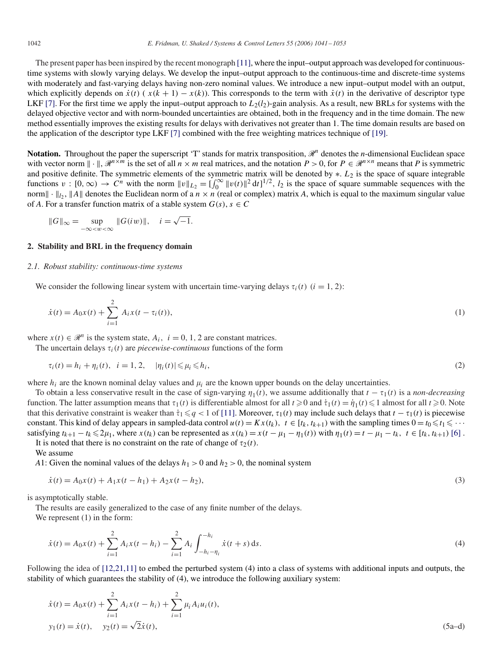The present paper has been inspired by the recent monograph [\[11\],](#page-11-0) where the input–output approach was developed for continuoustime systems with slowly varying delays. We develop the input–output approach to the continuous-time and discrete-time systems with moderately and fast-varying delays having non-zero nominal values. We introduce a new input–output model with an output, which explicitly depends on  $\dot{x}(t)$  ( $x(k+1) - x(k)$ ). This corresponds to the term with  $\dot{x}(t)$  in the derivative of descriptor type LKF [\[7\].](#page-11-0) For the first time we apply the input–output approach to  $L_2(l_2)$ -gain analysis. As a result, new BRLs for systems with the delayed objective vector and with norm-bounded uncertainties are obtained, both in the frequency and in the time domain. The new method essentially improves the existing results for delays with derivatives not greater than 1. The time domain results are based on the application of the descriptor type LKF [\[7\]](#page-11-0) combined with the free weighting matrices technique of [\[19\].](#page-12-0)

**Notation.** Throughout the paper the superscript 'T' stands for matrix transposition,  $\mathcal{R}^n$  denotes the *n*-dimensional Euclidean space with vector norm  $\|\cdot\|$ ,  $\mathbb{R}^{n \times m}$  is the set of all  $n \times m$  real matrices, and the notation  $P > 0$ , for  $P \in \mathbb{R}^{n \times n}$  means that P is symmetric and positive definite. The symmetric elements of the symmetric matrix will be denoted by \*.  $L_2$  is the space of square integrable functions  $v : [0, \infty) \to C^n$  with the norm  $||v||_{L_2} = \left[\int_0^\infty ||v(t)||^2 dt\right]^{1/2}$ ,  $l_2$  is the space of square summable sequences with the norm $\|\cdot\|_{l_2}$ ,  $\|A\|$  denotes the Euclidean norm of a  $n \times n$  (real or complex) matrix *A*, which is equal to the maximum singular value of *A*. For a transfer function matrix of a stable system  $G(s)$ ,  $s \in C$ 

$$
||G||_{\infty} = \sup_{-\infty < w < \infty} ||G(iw)||, \quad i = \sqrt{-1}.
$$

## **2. Stability and BRL in the frequency domain**

#### *2.1. Robust stability: continuous-time systems*

We consider the following linear system with uncertain time-varying delays  $\tau_i(t)$  ( $i = 1, 2$ ):

$$
\dot{x}(t) = A_0 x(t) + \sum_{i=1}^{2} A_i x(t - \tau_i(t)),
$$
\n(1)

where  $x(t) \in \mathcal{R}^n$  is the system state,  $A_i$ ,  $i = 0, 1, 2$  are constant matrices.

The uncertain delays  $\tau_i(t)$  are *piecewise-continuous* functions of the form

$$
\tau_i(t) = h_i + \eta_i(t), \quad i = 1, 2, \quad |\eta_i(t)| \le \mu_i \le h_i,
$$
\n(2)

where  $h_i$  are the known nominal delay values and  $\mu_i$  are the known upper bounds on the delay uncertainties.

To obtain a less conservative result in the case of sign-varying  $\eta_1(t)$ , we assume additionally that  $t - \tau_1(t)$  is a *non-decreasing* function. The latter assumption means that  $\tau_1(t)$  is differentiable almost for all  $t \ge 0$  and  $\dot{\tau}_1(t) = \dot{\eta}_1(t) \le 1$  almost for all  $t \ge 0$ . Note that this derivative constraint is weaker than  $\dot{\tau}_1 \leq q < 1$  of [\[11\].](#page-11-0) Moreover,  $\tau_1(t)$  may include such delays that  $t - \tau_1(t)$  is piecewise constant. This kind of delay appears in sampled-data control  $u(t) = Kx(t_k)$ ,  $t \in [t_k, t_{k+1})$  with the sampling times  $0 = t_0 \le t_1 \le \cdots$ satisfying  $t_{k+1} - t_k \leq 2\mu_1$ , where  $x(t_k)$  can be represented as  $x(t_k) = x(t - \mu_1 - \eta_1(t))$  with  $\eta_1(t) = t - \mu_1 - t_k$ ,  $t \in [t_k, t_{k+1})$  [\[6\]](#page-11-0). It is noted that there is no constraint on the rate of change of  $\tau_2(t)$ .

We assume

*A*1: Given the nominal values of the delays  $h_1 > 0$  and  $h_2 > 0$ , the nominal system

$$
\dot{x}(t) = A_0 x(t) + A_1 x(t - h_1) + A_2 x(t - h_2),\tag{3}
$$

is asymptotically stable.

The results are easily generalized to the case of any finite number of the delays.

We represent  $(1)$  in the form:

$$
\dot{x}(t) = A_0 x(t) + \sum_{i=1}^{2} A_i x(t - h_i) - \sum_{i=1}^{2} A_i \int_{-h_i - \eta_i}^{-h_i} \dot{x}(t + s) \, \mathrm{d}s. \tag{4}
$$

Following the idea of [12,21,11] to embed the perturbed system (4) into a class of systems with additional inputs and outputs, the stability of which guarantees the stability of (4), we introduce the following auxiliary system:

$$
\dot{x}(t) = A_0 x(t) + \sum_{i=1}^{2} A_i x(t - h_i) + \sum_{i=1}^{2} \mu_i A_i u_i(t),
$$
  
\n
$$
y_1(t) = \dot{x}(t), \quad y_2(t) = \sqrt{2}\dot{x}(t),
$$
\n(5a-d)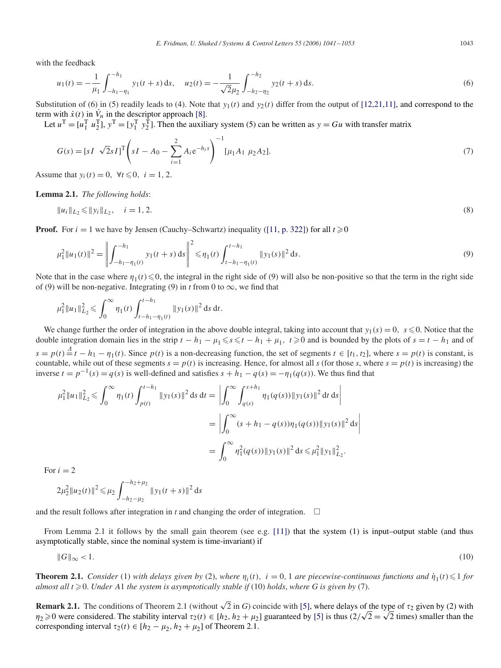with the feedback

$$
u_1(t) = -\frac{1}{\mu_1} \int_{-h_1 - \eta_1}^{-h_1} y_1(t+s) \, ds, \quad u_2(t) = -\frac{1}{\sqrt{2}\mu_2} \int_{-h_2 - \eta_2}^{-h_2} y_2(t+s) \, ds. \tag{6}
$$

Substitution of (6) in (5) readily leads to (4). Note that  $y_1(t)$  and  $y_2(t)$  differ from the output of [12,21,11], and correspond to the term with  $\dot{x}(t)$  in  $\dot{V}_n$  in the descriptor approach [\[8\].](#page-11-0)

Let  $u^T = [u_1^T u_2^T]$ ,  $y^T = [y_1^T y_2^T]$ . Then the auxiliary system (5) can be written as  $y = Gu$  with transfer matrix

$$
G(s) = [sI \sqrt{2}sI]^T \left(sI - A_0 - \sum_{i=1}^2 A_i e^{-h_i s}\right)^{-1} [\mu_1 A_1 \mu_2 A_2].
$$
\n(7)

Assume that  $y_i(t) = 0$ ,  $\forall t \le 0$ ,  $i = 1, 2$ .

**Lemma 2.1.** *The following holds*:

$$
||u_i||_{L_2} \le ||y_i||_{L_2}, \quad i = 1, 2. \tag{8}
$$

**Proof.** For  $i = 1$  we have by Jensen (Cauchy–Schwartz) inequality [\(\[11, p. 322\]\)](#page-11-0) for all  $t \ge 0$ 

$$
\mu_1^2 \|u_1(t)\|^2 = \left\| \int_{-h_1 - \eta_1(t)}^{-h_1} y_1(t+s) \, ds \right\|^2 \le \eta_1(t) \int_{t-h_1 - \eta_1(t)}^{t-h_1} \|y_1(s)\|^2 \, ds. \tag{9}
$$

Note that in the case where  $\eta_1(t) \leq 0$ , the integral in the right side of (9) will also be non-positive so that the term in the right side of (9) will be non-negative. Integrating (9) in *t* from 0 to  $\infty$ , we find that

$$
\mu_1^2 \|u_1\|_{L_2}^2 \leqslant \int_0^\infty \eta_1(t) \int_{t-h_1-\eta_1(t)}^{t-h_1} \|y_1(s)\|^2 \, \mathrm{d} s \, \mathrm{d} t.
$$

We change further the order of integration in the above double integral, taking into account that  $y_1(s) = 0$ ,  $s \le 0$ . Notice that the double integration domain lies in the strip  $t - h_1 - \mu_1 \le s \le t - h_1 + \mu_1$ ,  $t \ge 0$  and is bounded by the plots of  $s = t - h_1$  and of  $s = p(t) \stackrel{d}{=} t - h_1 - \eta_1(t)$ . Since  $p(t)$  is a non-decreasing function, the set of segments  $t \in [t_1, t_2]$ , where  $s = p(t)$  is constant, is countable, while out of these segments  $s = p(t)$  is increasing. Hence, for almost all *s* (for those *s*, where  $s = p(t)$  is increasing) the inverse  $t = p^{-1}(s) = q(s)$  is well-defined and satisfies  $s + h_1 - q(s) = -\eta_1(q(s))$ . We thus find that

$$
\mu_1^2 \|u_1\|_{L_2}^2 \leq \int_0^\infty \eta_1(t) \int_{p(t)}^{t-h_1} \|y_1(s)\|^2 ds dt = \left| \int_0^\infty \int_{q(s)}^{s+h_1} \eta_1(q(s)) \|y_1(s)\|^2 dt ds \right|
$$
  
= 
$$
\left| \int_0^\infty (s+h_1-q(s)) \eta_1(q(s)) \|y_1(s)\|^2 ds \right|
$$
  
= 
$$
\int_0^\infty \eta_1^2(q(s)) \|y_1(s)\|^2 ds \leq \mu_1^2 \|y_1\|_{L_2}^2.
$$

For  $i = 2$ 

$$
2\mu_2^2 \|u_2(t)\|^2 \leq \mu_2 \int_{-h_2 - \mu_2}^{-h_2 + \mu_2} \|y_1(t+s)\|^2 ds
$$

and the result follows after integration in *t* and changing the order of integration.  $\Box$ 

From Lemma 2.1 it follows by the small gain theorem (see e.g. [\[11\]\)](#page-11-0) that the system (1) is input–output stable (and thus asymptotically stable, since the nominal system is time-invariant) if

$$
\|G\|_{\infty} < 1. \tag{10}
$$

**Theorem 2.1.** *Consider* (1) *with delays given by* (2), *where*  $\eta_i(t)$ ,  $i = 0, 1$  *are piecewise-continuous functions and*  $\dot{\eta}_1(t) \leq 1$  *for*  $a$ lmost all  $t \geq 0$ . Under A1 the system is asymptotically stable if (10) holds, where G is given by (7).

**Remark 2.1.** The conditions of Theorem 2.1 (without  $\sqrt{2}$  in *G*) coincide with [\[5\],](#page-11-0) where delays of the type of  $\tau_2$  given by (2) with **Remark 2.1.** The conditions of Theorem 2.1 (without  $\sqrt{2}$  in G) coincide with [\[5\]](#page-11-0), where delays of the type of  $\tau_2$  given by (2) with  $\eta_2 \ge 0$  were considered. The stability interval  $\tau_2(t) \in [h_2, h_2 + \mu_2]$  guaran corresponding interval  $\tau_2(t) \in [h_2 - \mu_2, h_2 + \mu_2]$  of Theorem 2.1.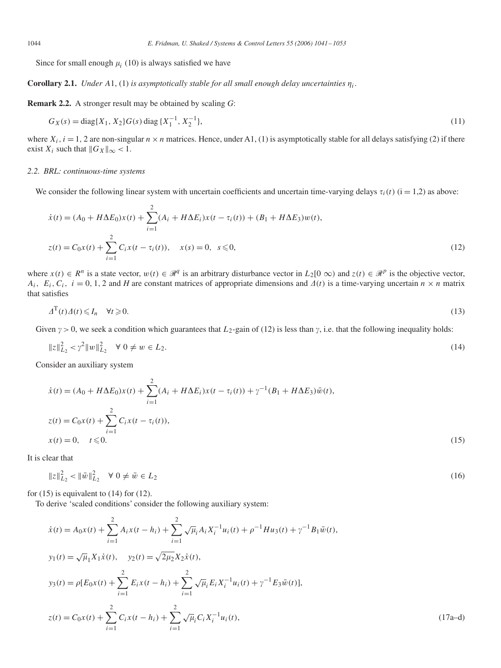Since for small enough  $\mu_i$  (10) is always satisfied we have

**Corollary 2.1.** *Under* A1, (1) *is asymptotically stable for all small enough delay uncertainties*  $\eta_i$ .

**Remark 2.2.** A stronger result may be obtained by scaling *G*:

$$
G_X(s) = \text{diag}\{X_1, X_2\}G(s)\,\text{diag}\,\{X_1^{-1}, X_2^{-1}\},\tag{11}
$$

where  $X_i$ ,  $i = 1$ , 2 are non-singular  $n \times n$  matrices. Hence, under A1, (1) is asymptotically stable for all delays satisfying (2) if there exist  $X_i$  such that  $||G_X||_{\infty} < 1$ .

### *2.2. BRL: continuous-time systems*

We consider the following linear system with uncertain coefficients and uncertain time-varying delays  $\tau_i(t)$  ( $i = 1,2$ ) as above:

$$
\dot{x}(t) = (A_0 + H\Delta E_0)x(t) + \sum_{i=1}^{2} (A_i + H\Delta E_i)x(t - \tau_i(t)) + (B_1 + H\Delta E_3)w(t),
$$
  
\n
$$
z(t) = C_0x(t) + \sum_{i=1}^{2} C_i x(t - \tau_i(t)), \quad x(s) = 0, \quad s \le 0,
$$
\n(12)

where  $x(t) \in \mathbb{R}^n$  is a state vector,  $w(t) \in \mathbb{R}^q$  is an arbitrary disturbance vector in  $L_2[0 \infty)$  and  $z(t) \in \mathbb{R}^p$  is the objective vector, *A<sub>i</sub>*,  $E_i$ ,  $C_i$ ,  $i = 0, 1, 2$  and *H* are constant matrices of appropriate dimensions and  $\Delta(t)$  is a time-varying uncertain  $n \times n$  matrix that satisfies

$$
\Delta^{\mathrm{T}}(t)\Delta(t) \le I_n \quad \forall t \ge 0. \tag{13}
$$

Given  $\gamma > 0$ , we seek a condition which guarantees that  $L_2$ -gain of (12) is less than  $\gamma$ , i.e. that the following inequality holds:

$$
||z||_{L_2}^2 < \gamma^2 ||w||_{L_2}^2 \quad \forall \ 0 \neq w \in L_2. \tag{14}
$$

Consider an auxiliary system

$$
\dot{x}(t) = (A_0 + H\Delta E_0)x(t) + \sum_{i=1}^{2} (A_i + H\Delta E_i)x(t - \tau_i(t)) + \gamma^{-1}(B_1 + H\Delta E_3)\bar{w}(t),
$$
  
\n
$$
z(t) = C_0x(t) + \sum_{i=1}^{2} C_i x(t - \tau_i(t)),
$$
  
\n
$$
x(t) = 0, \quad t \le 0.
$$
\n(15)

It is clear that

$$
||z||_{L_2}^2 < ||\bar{w}||_{L_2}^2 \quad \forall \ 0 \neq \bar{w} \in L_2
$$
\n
$$
(16)
$$

for  $(15)$  is equivalent to  $(14)$  for  $(12)$ .

To derive 'scaled conditions' consider the following auxiliary system:

$$
\dot{x}(t) = A_0 x(t) + \sum_{i=1}^{2} A_i x(t - h_i) + \sum_{i=1}^{2} \sqrt{\mu}_i A_i X_i^{-1} u_i(t) + \rho^{-1} H u_3(t) + \gamma^{-1} B_1 \bar{w}(t),
$$
  
\n
$$
y_1(t) = \sqrt{\mu}_1 X_1 \dot{x}(t), \quad y_2(t) = \sqrt{2\mu_2} X_2 \dot{x}(t),
$$
  
\n
$$
y_3(t) = \rho [E_0 x(t) + \sum_{i=1}^{2} E_i x(t - h_i) + \sum_{i=1}^{2} \sqrt{\mu}_i E_i X_i^{-1} u_i(t) + \gamma^{-1} E_3 \bar{w}(t)],
$$
  
\n
$$
z(t) = C_0 x(t) + \sum_{i=1}^{2} C_i x(t - h_i) + \sum_{i=1}^{2} \sqrt{\mu}_i C_i X_i^{-1} u_i(t),
$$
\n(17a-d)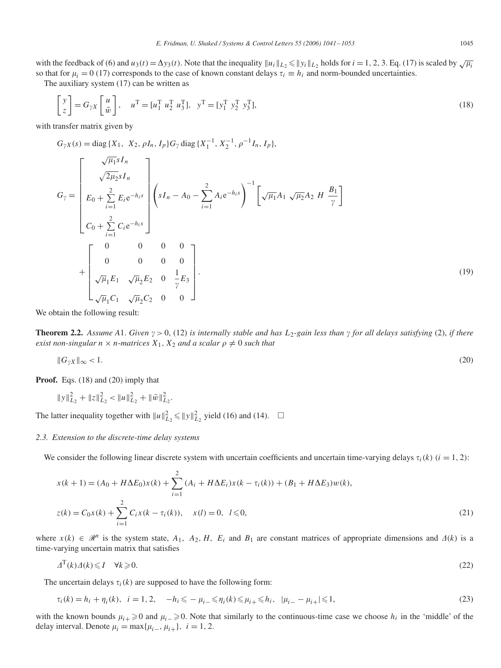with the feedback of (6) and  $u_3(t) = \Delta y_3(t)$ . Note that the inequality  $||u_i||_{L_2} \le ||y_i||_{L_2}$  holds for  $i = 1, 2, 3$ . Eq. (17) is scaled by  $\sqrt{\mu_i}$ so that for  $\mu_i = 0$  (17) corresponds to the case of known constant delays  $\tau_i \equiv h_i$  and norm-bounded uncertainties.

The auxiliary system (17) can be written as

$$
\begin{bmatrix} y \\ z \end{bmatrix} = G_{\gamma X} \begin{bmatrix} u \\ \bar{w} \end{bmatrix}, \quad u^{\mathrm{T}} = [u_1^{\mathrm{T}} \ u_2^{\mathrm{T}} \ u_3^{\mathrm{T}}], \quad y^{\mathrm{T}} = [y_1^{\mathrm{T}} \ y_2^{\mathrm{T}} \ y_3^{\mathrm{T}}], \tag{18}
$$

with transfer matrix given by

$$
G_{\gamma X}(s) = \text{diag}\{X_1, X_2, \rho I_n, I_p\} G_{\gamma} \text{diag}\{X_1^{-1}, X_2^{-1}, \rho^{-1} I_n, I_p\},
$$
\n
$$
G_{\gamma} = \begin{bmatrix}\n\sqrt{\mu_1 s} I_n \\
\sqrt{2\mu_2 s} I_n \\
E_0 + \sum_{i=1}^2 E_i e^{-h_i s} \\
C_0 + \sum_{i=1}^2 C_i e^{-h_i s}\n\end{bmatrix}\n\begin{pmatrix}\nsI_n - A_0 - \sum_{i=1}^2 A_i e^{-h_i s}\n\end{pmatrix}^{-1}\n\begin{bmatrix}\n\sqrt{\mu_1} A_1 \sqrt{\mu_2} A_2 H \frac{B_1}{\gamma}\n\end{bmatrix}
$$
\n
$$
+ \begin{bmatrix}\n0 & 0 & 0 & 0 \\
0 & 0 & 0 & 0 \\
\sqrt{\mu_1} E_1 \sqrt{\mu_2} E_2 & 0 & \frac{1}{\gamma} E_3 \\
\sqrt{\mu_1} C_1 \sqrt{\mu_2} C_2 & 0 & 0\n\end{bmatrix}.
$$
\n(19)

We obtain the following result:

**Theorem 2.2.** Assume A1. Given  $\gamma > 0$ , (12) is internally stable and has  $L_2$ -gain less than  $\gamma$  for all delays satisfying (2), if there *exist non-singular*  $n \times n$ *-matrices*  $X_1, X_2$  *and a scalar*  $\rho \neq 0$  *such that* 

$$
\|G_{\gamma X}\|_{\infty} < 1. \tag{20}
$$

**Proof.** Eqs. (18) and (20) imply that

$$
||y||_{L_2}^2 + ||z||_{L_2}^2 < ||u||_{L_2}^2 + ||\bar{w}||_{L_2}^2.
$$

The latter inequality together with  $||u||_{L_2}^2 \le ||y||_{L_2}^2$  yield (16) and (14).  $\square$ 

### *2.3. Extension to the discrete-time delay systems*

We consider the following linear discrete system with uncertain coefficients and uncertain time-varying delays  $\tau_i(k)$  ( $i = 1, 2$ ):

$$
x(k + 1) = (A_0 + H\Delta E_0)x(k) + \sum_{i=1}^{2} (A_i + H\Delta E_i)x(k - \tau_i(k)) + (B_1 + H\Delta E_3)w(k),
$$
  
\n
$$
z(k) = C_0x(k) + \sum_{i=1}^{2} C_i x(k - \tau_i(k)), \quad x(l) = 0, \quad l \le 0,
$$
\n(21)

where  $x(k) \in \mathcal{R}^n$  is the system state,  $A_1$ ,  $A_2$ ,  $H$ ,  $E_i$  and  $B_1$  are constant matrices of appropriate dimensions and  $\Delta(k)$  is a time-varying uncertain matrix that satisfies

$$
\Delta^{\mathrm{T}}(k)\Delta(k) \leqslant I \quad \forall k \geqslant 0. \tag{22}
$$

The uncertain delays  $\tau_i(k)$  are supposed to have the following form:

$$
\tau_i(k) = h_i + \eta_i(k), \quad i = 1, 2, \quad -h_i \leqslant -\mu_i \leqslant \eta_i(k) \leqslant \mu_i \leqslant h_i, \quad |\mu_i - \mu_{i+}| \leqslant 1,\tag{23}
$$

with the known bounds  $\mu_i$   $\geq$  0 and  $\mu_i$   $\geq$  0. Note that similarly to the continuous-time case we choose  $h_i$  in the 'middle' of the delay interval. Denote  $\mu_i = \max{\mu_{i-}, \mu_{i+}}$ ,  $i = 1, 2$ .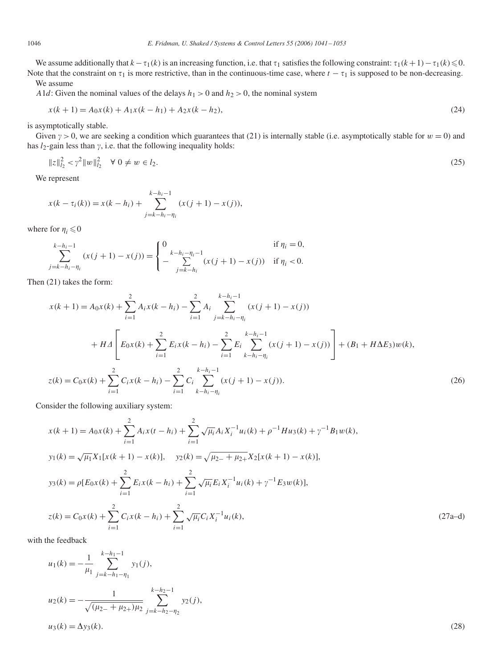We assume additionally that  $k - \tau_1(k)$  is an increasing function, i.e. that  $\tau_1$  satisfies the following constraint:  $\tau_1(k+1) - \tau_1(k) \le 0$ . Note that the constraint on  $\tau_1$  is more restrictive, than in the continuous-time case, where  $t - \tau_1$  is supposed to be non-decreasing. We assume

*A*1*d*: Given the nominal values of the delays  $h_1 > 0$  and  $h_2 > 0$ , the nominal system

$$
x(k+1) = A_0 x(k) + A_1 x(k - h_1) + A_2 x(k - h_2),
$$
\n(24)

is asymptotically stable.

Given  $\gamma > 0$ , we are seeking a condition which guarantees that (21) is internally stable (i.e. asymptotically stable for  $w = 0$ ) and has  $l_2$ -gain less than  $\gamma$ , i.e. that the following inequality holds:

$$
||z||_{l_2}^2 < \gamma^2 ||w||_{l_2}^2 \quad \forall \ 0 \neq w \in l_2. \tag{25}
$$

We represent

$$
x(k - \tau_i(k)) = x(k - h_i) + \sum_{j=k-h_i-\eta_i}^{k-h_i-1} (x(j + 1) - x(j)),
$$

where for  $\eta_i \leq 0$ 

$$
\sum_{j=k-h_i-\eta_i}^{k-h_i-1} (x(j+1)-x(j)) = \begin{cases} 0 & \text{if } \eta_i = 0, \\ -\sum_{j=k-h_i}^{k-h_i-\eta_i-1} (x(j+1)-x(j)) & \text{if } \eta_i < 0. \end{cases}
$$

Then (21) takes the form:

$$
x(k+1) = A_0 x(k) + \sum_{i=1}^{2} A_i x(k - h_i) - \sum_{i=1}^{2} A_i \sum_{j=k-h_i-\eta_i}^{k-h_i-1} (x(j+1) - x(j))
$$
  
+
$$
H\Delta \left[ E_0 x(k) + \sum_{i=1}^{2} E_i x(k - h_i) - \sum_{i=1}^{2} E_i \sum_{k-h_i-\eta_i}^{k-h_i-1} (x(j+1) - x(j)) \right] + (B_1 + H\Delta E_3) w(k),
$$
  

$$
z(k) = C_0 x(k) + \sum_{i=1}^{2} C_i x(k - h_i) - \sum_{i=1}^{2} C_i \sum_{k-h_i-\eta_i}^{k-h_i-1} (x(j+1) - x(j)).
$$
 (26)

Consider the following auxiliary system:

$$
x(k+1) = A_0x(k) + \sum_{i=1}^{2} A_i x(t - h_i) + \sum_{i=1}^{2} \sqrt{\mu_i} A_i X_i^{-1} u_i(k) + \rho^{-1} H u_3(k) + \gamma^{-1} B_1 w(k),
$$
  
\n
$$
y_1(k) = \sqrt{\mu_1} X_1 [x(k+1) - x(k)], \quad y_2(k) = \sqrt{\mu_2 + \mu_2 +} X_2 [x(k+1) - x(k)],
$$
  
\n
$$
y_3(k) = \rho [E_0 x(k) + \sum_{i=1}^{2} E_i x(k - h_i) + \sum_{i=1}^{2} \sqrt{\mu_i} E_i X_i^{-1} u_i(k) + \gamma^{-1} E_3 w(k)],
$$
  
\n
$$
z(k) = C_0 x(k) + \sum_{i=1}^{2} C_i x(k - h_i) + \sum_{i=1}^{2} \sqrt{\mu_i} C_i X_i^{-1} u_i(k),
$$
\n(27a-d)

with the feedback

$$
u_1(k) = -\frac{1}{\mu_1} \sum_{j=k-h_1-\eta_1}^{k-h_1-1} y_1(j),
$$
  
\n
$$
u_2(k) = -\frac{1}{\sqrt{(\mu_{2-} + \mu_{2+})\mu_2}} \sum_{j=k-h_2-\eta_2}^{k-h_2-1} y_2(j),
$$
  
\n
$$
u_3(k) = \Delta y_3(k).
$$
\n(28)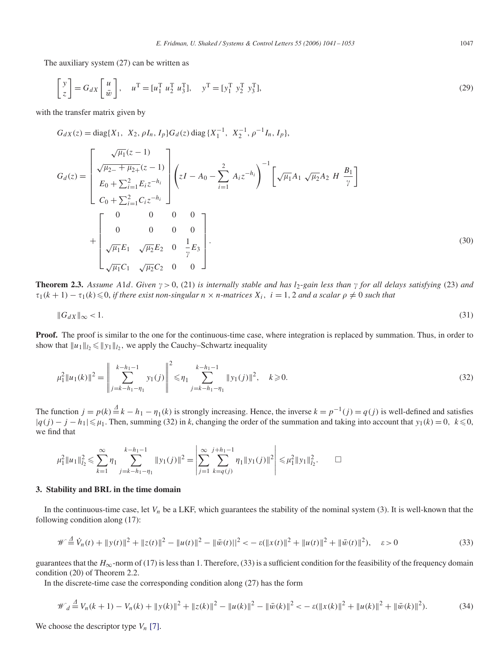The auxiliary system (27) can be written as

$$
\begin{bmatrix} y \\ z \end{bmatrix} = G_{dX} \begin{bmatrix} u \\ \bar{w} \end{bmatrix}, \quad u^{\mathrm{T}} = [u_1^{\mathrm{T}} \ u_2^{\mathrm{T}} \ u_3^{\mathrm{T}}], \quad y^{\mathrm{T}} = [y_1^{\mathrm{T}} \ y_2^{\mathrm{T}} \ y_3^{\mathrm{T}}], \tag{29}
$$

with the transfer matrix given by

$$
G_{dX}(z) = \text{diag}\{X_1, X_2, \rho I_n, I_p\} G_d(z) \text{ diag}\{X_1^{-1}, X_2^{-1}, \rho^{-1} I_n, I_p\},
$$
  
\n
$$
G_d(z) = \begin{bmatrix} \sqrt{\mu_1}(z-1) \\ \sqrt{\mu_2 - \mu_2}(z-1) \\ E_0 + \sum_{i=1}^2 E_i z^{-h_i} \\ C_0 + \sum_{i=1}^2 C_i z^{-h_i} \end{bmatrix} \left(zI - A_0 - \sum_{i=1}^2 A_i z^{-h_i}\right)^{-1} \left[\sqrt{\mu_1} A_1 \sqrt{\mu_2} A_2 H \frac{B_1}{\gamma}\right]
$$
  
\n
$$
+ \begin{bmatrix} 0 & 0 & 0 & 0 \\ 0 & 0 & 0 & 0 \\ \sqrt{\mu_1} E_1 & \sqrt{\mu_2} E_2 & 0 & \frac{1}{\gamma} E_3 \\ \sqrt{\mu_1} C_1 & \sqrt{\mu_2} C_2 & 0 & 0 \end{bmatrix}.
$$
  
\n(30)

**Theorem 2.3.** Assume A1*d*. Given  $\gamma > 0$ , (21) is internally stable and has  $l_2$ -gain less than  $\gamma$  for all delays satisfying (23) and  $\tau_1(k+1) - \tau_1(k) \leq 0$ , *if there exist non-singular*  $n \times n$ -matrices  $X_i$ ,  $i = 1, 2$  *and a scalar*  $\rho \neq 0$  *such that* 

$$
\|G_{dX}\|_{\infty} < 1. \tag{31}
$$

Proof. The proof is similar to the one for the continuous-time case, where integration is replaced by summation. Thus, in order to show that  $||u_1||_2 \le ||y_1||_2$ , we apply the Cauchy–Schwartz inequality

$$
\mu_1^2 \|u_1(k)\|^2 = \left\| \sum_{j=k-h_1-\eta_1}^{k-h_1-1} y_1(j) \right\|^2 \le \eta_1 \sum_{j=k-h_1-\eta_1}^{k-h_1-1} \|y_1(j)\|^2, \quad k \ge 0.
$$
\n(32)

The function  $j = p(k) \stackrel{d}{=} k - h_1 - \eta_1(k)$  is strongly increasing. Hence, the inverse  $k = p^{-1}(j) = q(j)$  is well-defined and satisfies  $|q(j) - j - h_1| \le \mu_1$ . Then, summing (32) in *k*, changing the order of the summation and taking into account that *y*<sub>1</sub>(*k*) = 0*, k* ≤ 0*,* we find that

$$
\mu_1^2 \|u_1\|_{l_2}^2 \leq \sum_{k=1}^{\infty} \eta_1 \sum_{j=k-h_1-\eta_1}^{k-h_1-1} \|y_1(j)\|^2 = \left| \sum_{j=1}^{\infty} \sum_{k=q(j)}^{j+h_1-1} \eta_1 \|y_1(j)\|^2 \right| \leq \mu_1^2 \|y_1\|_{l_2}^2. \qquad \Box
$$

# **3. Stability and BRL in the time domain**

In the continuous-time case, let *V<sub>n</sub>* be a LKF, which guarantees the stability of the nominal system (3). It is well-known that the following condition along (17):

$$
\mathscr{W} \stackrel{d}{=} \dot{V}_n(t) + ||y(t)||^2 + ||z(t)||^2 - ||u(t)||^2 - ||\bar{w}(t)||^2 < -\varepsilon(||x(t)||^2 + ||u(t)||^2 + ||\bar{w}(t)||^2), \quad \varepsilon > 0 \tag{33}
$$

guarantees that the  $H_{\infty}$ -norm of (17) is less than 1. Therefore, (33) is a sufficient condition for the feasibility of the frequency domain condition (20) of Theorem 2.2.

In the discrete-time case the corresponding condition along (27) has the form

$$
\mathcal{W}_d \stackrel{d}{=} V_n(k+1) - V_n(k) + \|y(k)\|^2 + \|z(k)\|^2 - \|u(k)\|^2 - \|\bar{w}(k)\|^2 < -\varepsilon (\|x(k)\|^2 + \|u(k)\|^2 + \|\bar{w}(k)\|^2). \tag{34}
$$

We choose the descriptor type  $V_n$  [\[7\].](#page-11-0)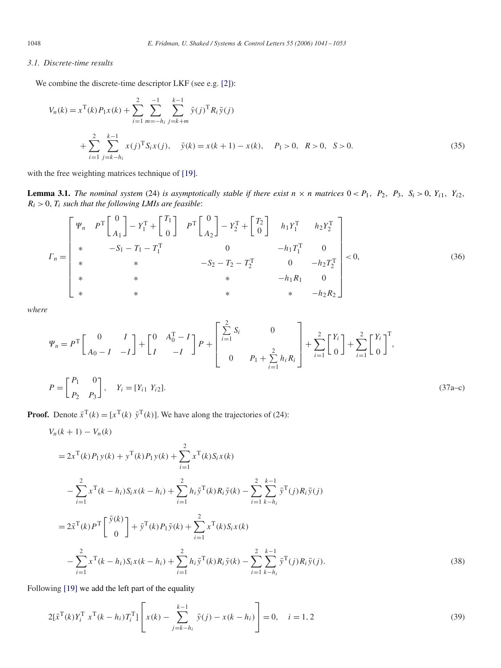# *3.1. Discrete-time results*

We combine the discrete-time descriptor LKF (see e.g. [\[2\]\)](#page-11-0):

$$
V_n(k) = x^{\mathrm{T}}(k)P_1x(k) + \sum_{i=1}^2 \sum_{m=-h_i}^{-1} \sum_{j=k+m}^{k-1} \bar{y}(j)^{\mathrm{T}} R_i \bar{y}(j)
$$
  
+ 
$$
\sum_{i=1}^2 \sum_{j=k-h_i}^{k-1} x(j)^{\mathrm{T}} S_i x(j), \quad \bar{y}(k) = x(k+1) - x(k), \quad P_1 > 0, \quad R > 0, \quad S > 0.
$$
 (35)

with the free weighting matrices technique of [\[19\].](#page-12-0)

**Lemma 3.1.** The nominal system (24) is asymptotically stable if there exist  $n \times n$  matrices  $0 < P_1$ ,  $P_2$ ,  $P_3$ ,  $S_i > 0$ ,  $Y_{i1}$ ,  $Y_{i2}$ ,  $R_i > 0$ ,  $T_i$  *such that the following LMIs are feasible*:

$$
\Gamma_{n} = \begin{bmatrix} \Psi_{n} & P^{\text{T}} \begin{bmatrix} 0 \\ A_{1} \end{bmatrix} - Y_{1}^{\text{T}} + \begin{bmatrix} T_{1} \\ 0 \end{bmatrix} & P^{\text{T}} \begin{bmatrix} 0 \\ A_{2} \end{bmatrix} - Y_{2}^{\text{T}} + \begin{bmatrix} T_{2} \\ 0 \end{bmatrix} & h_{1} Y_{1}^{\text{T}} & h_{2} Y_{2}^{\text{T}} \\ h_{1} Y_{1}^{\text{T}} & h_{2} Y_{2}^{\text{T}} \\ * & -S_{1} - T_{1} - T_{1}^{\text{T}} & 0 & -h_{1} T_{1}^{\text{T}} & 0 \\ * & * & -S_{2} - T_{2} - T_{2}^{\text{T}} & 0 & -h_{2} T_{2}^{\text{T}} \\ * & * & * & -h_{1} R_{1} & 0 \\ * & * & * & * & -h_{2} R_{2} \end{bmatrix} < 0,
$$
\n(36)

*where*

$$
\Psi_n = P^{\mathrm{T}} \begin{bmatrix} 0 & I \\ A_0 - I & -I \end{bmatrix} + \begin{bmatrix} 0 & A_0^{\mathrm{T}} - I \\ I & -I \end{bmatrix} P + \begin{bmatrix} \sum_{i=1}^{2} S_i & 0 \\ 0 & P_1 + \sum_{i=1}^{2} h_i R_i \end{bmatrix} + \sum_{i=1}^{2} \begin{bmatrix} Y_i \\ 0 \end{bmatrix} + \sum_{i=1}^{2} \begin{bmatrix} Y_i \\ 0 \end{bmatrix}^{\mathrm{T}},
$$
  
\n
$$
P = \begin{bmatrix} P_1 & 0 \\ P_2 & P_3 \end{bmatrix}, \quad Y_i = [Y_{i1} Y_{i2}].
$$
 (37a-c)

**Proof.** Denote  $\bar{x}^T(k) = [x^T(k) \ \bar{y}^T(k)]$ . We have along the trajectories of (24):

$$
V_n(k+1) - V_n(k)
$$
  
=  $2x^T(k)P_1y(k) + y^T(k)P_1y(k) + \sum_{i=1}^2 x^T(k)S_i x(k)$   

$$
- \sum_{i=1}^2 x^T(k - h_i)S_i x(k - h_i) + \sum_{i=1}^2 h_i \bar{y}^T(k)R_i \bar{y}(k) - \sum_{i=1}^2 \sum_{k=h_i}^{k-1} \bar{y}^T(j)R_i \bar{y}(j)
$$
  
=  $2\bar{x}^T(k)P^T \begin{bmatrix} \bar{y}(k) \\ 0 \end{bmatrix} + \bar{y}^T(k)P_1 \bar{y}(k) + \sum_{i=1}^2 x^T(k)S_i x(k)$   

$$
- \sum_{i=1}^2 x^T(k - h_i)S_i x(k - h_i) + \sum_{i=1}^2 h_i \bar{y}^T(k)R_i \bar{y}(k) - \sum_{i=1}^2 \sum_{k=h_i}^{k-1} \bar{y}^T(j)R_i \bar{y}(j).
$$
 (38)

Following [\[19\]](#page-12-0) we add the left part of the equality

$$
2[\bar{x}^{\mathrm{T}}(k)Y_i^{\mathrm{T}} \ x^{\mathrm{T}}(k-h_i)T_i^{\mathrm{T}}] \left[ x(k) - \sum_{j=k-h_i}^{k-1} \bar{y}(j) - x(k-h_i) \right] = 0, \quad i = 1, 2
$$
\n(39)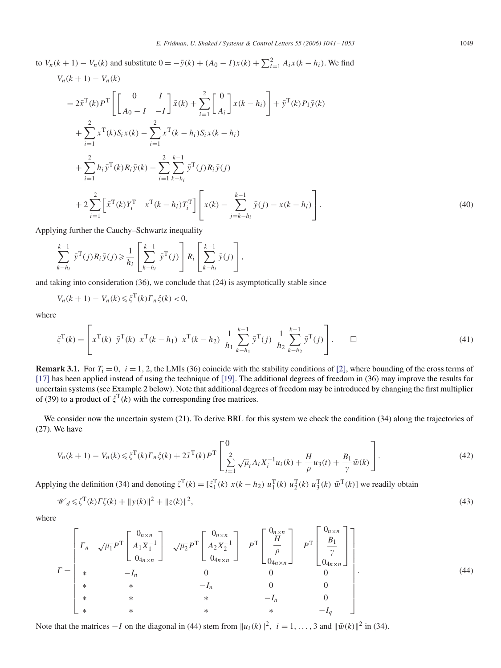to  $V_n(k + 1) - V_n(k)$  and substitute  $0 = -\bar{y}(k) + (A_0 - I)x(k) + \sum_{i=1}^{2} A_i x(k - h_i)$ . We find  $V_n(k+1) - V_n(k)$ 

$$
=2\bar{x}^{T}(k)P^{T}\left[\begin{bmatrix} 0 & I \\ A_{0}-I & -I \end{bmatrix}\bar{x}(k) + \sum_{i=1}^{2}\begin{bmatrix} 0 \\ A_{i} \end{bmatrix}x(k-h_{i})\right] + \bar{y}^{T}(k)P_{1}\bar{y}(k) + \sum_{i=1}^{2}x^{T}(k)S_{i}x(k) - \sum_{i=1}^{2}x^{T}(k-h_{i})S_{i}x(k-h_{i}) + \sum_{i=1}^{2}h_{i}\bar{y}^{T}(k)R_{i}\bar{y}(k) - \sum_{i=1}^{2}\sum_{k-h_{i}}^{k-1}\bar{y}^{T}(j)R_{i}\bar{y}(j) + 2\sum_{i=1}^{2}\left[\bar{x}^{T}(k)Y_{i}^{T} - x^{T}(k-h_{i})T_{i}^{T}\right]\left[x(k) - \sum_{j=k-h_{i}}^{k-1}\bar{y}(j) - x(k-h_{i})\right].
$$
\n(40)

Applying further the Cauchy–Schwartz inequality

$$
\sum_{k=h_i}^{k-1} \bar{\mathbf{y}}^{\mathrm{T}}(j) R_i \bar{\mathbf{y}}(j) \geq \frac{1}{h_i} \left[ \sum_{k=h_i}^{k-1} \bar{\mathbf{y}}^{\mathrm{T}}(j) \right] R_i \left[ \sum_{k=h_i}^{k-1} \bar{\mathbf{y}}(j) \right],
$$

and taking into consideration (36), we conclude that (24) is asymptotically stable since

$$
V_n(k+1) - V_n(k) \leq \xi^{\mathrm{T}}(k) \Gamma_n \xi(k) < 0,
$$

where

$$
\xi^{\mathrm{T}}(k) = \left[ x^{\mathrm{T}}(k) \ \bar{y}^{\mathrm{T}}(k) \ x^{\mathrm{T}}(k - h_1) \ x^{\mathrm{T}}(k - h_2) \ \frac{1}{h_1} \sum_{k=h_1}^{k-1} \bar{y}^{\mathrm{T}}(j) \ \frac{1}{h_2} \sum_{k=h_2}^{k-1} \bar{y}^{\mathrm{T}}(j) \right]. \qquad \Box
$$
\n(41)

**Remark 3.1.** For  $T_i = 0$ ,  $i = 1, 2$ , the LMIs (36) coincide with the stability conditions of [\[2\],](#page-11-0) where bounding of the cross terms of [\[17\]](#page-12-0) has been applied instead of using the technique of [\[19\].](#page-12-0) The additional degrees of freedom in (36) may improve the results for uncertain systems (see Example 2 below). Note that additional degrees of freedom may be introduced by changing the first multiplier of (39) to a product of  $\zeta^{\text{T}}(k)$  with the corresponding free matrices.

We consider now the uncertain system (21). To derive BRL for this system we check the condition (34) along the trajectories of (27). We have

$$
V_n(k+1) - V_n(k) \le \xi^{\mathrm{T}}(k) \Gamma_n \xi(k) + 2\bar{x}^{\mathrm{T}}(k) P^{\mathrm{T}} \left[ \sum_{i=1}^2 \sqrt{\mu}_i A_i X_i^{-1} u_i(k) + \frac{H}{\rho} u_3(t) + \frac{B_1}{\gamma} \bar{w}(k) \right].
$$
\n(42)

Applying the definition (34) and denoting  $\zeta^{\text{T}}(k) = [\zeta_1^{\text{T}}(k) \ x(k - h_2) \ u_1^{\text{T}}(k) \ u_2^{\text{T}}(k) \ u_3^{\text{T}}(k) \ \bar{w}^{\text{T}}(k)]$  we readily obtain

$$
\mathcal{W}_d \leq \zeta^{\mathrm{T}}(k)\Gamma\zeta(k) + \|y(k)\|^2 + \|z(k)\|^2,
$$
\n(43)

where

$$
\Gamma = \begin{bmatrix}\n\Gamma_n & \sqrt{\mu_1} P^T \begin{bmatrix}\n0_{n \times n} \\
A_1 X_1^{-1} \\
0_{4n \times n}\n\end{bmatrix} & \sqrt{\mu_2} P^T \begin{bmatrix}\n0_{n \times n} \\
A_2 X_2^{-1} \\
0_{4n \times n}\n\end{bmatrix} & P^T \begin{bmatrix}\n0_{n \times n} \\
\frac{H}{\rho} \\
0_{4n \times n}\n\end{bmatrix} \\
F = \begin{bmatrix}\n0_{n \times n} \\
B_1 \\
\frac{B_1}{\gamma} \\
0_{4n \times n}\n\end{bmatrix} \\
* \\
* \\
* \\
* \\
* \\
* \\
-I_n\n\end{bmatrix} . \tag{44}
$$

Note that the matrices  $-I$  on the diagonal in (44) stem from  $||u_i(k)||^2$ ,  $i = 1, \ldots, 3$  and  $||\bar{w}(k)||^2$  in (34).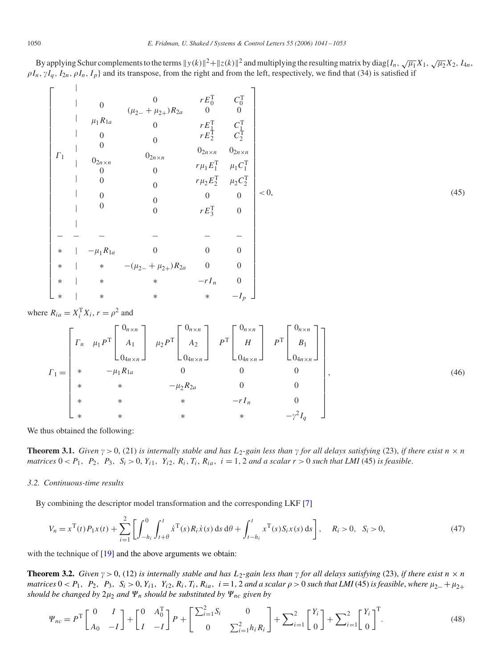By applying Schur complements to the terms  $y(k)\|^2 + \|z(k)\|^2$  and multiplying the resulting matrix by diag{ $I_n$ ,  $\sqrt{\mu_1}X_1$ ,  $\sqrt{\mu_2}X_2$ ,  $I_{4n}$ ,  $\rho I_n$ ,  $\gamma I_q$ ,  $I_{2n}$ ,  $\rho I_n$ ,  $I_p$ } and its transpose, from the right and from the left, respectively, we find that (34) is satisfied if

⎡ ⎢ ⎢ ⎢ ⎢ ⎢ ⎢ ⎢ ⎢ ⎢ ⎢ ⎢ ⎢ ⎢ ⎢ ⎢ ⎢ ⎢ ⎢ ⎢ ⎢ ⎢ ⎢ ⎢ ⎢ ⎢ ⎢ ⎢ ⎢ ⎢ ⎢ ⎢ ⎢ ⎢ ⎢ ⎢ ⎢ ⎣ 1 | | | | | | | | | 0 1*R*1*<sup>a</sup>* 0 0 02*<sup>n</sup>*×*<sup>n</sup>* 0 0 0 0 0 *(*2<sup>−</sup> + 2+*)R*2*<sup>a</sup>* 0 0 02*<sup>n</sup>*×*<sup>n</sup>* 0 0 0 0 *rE*T 0 0 *rE*T 1 *rE*T 2 02*<sup>n</sup>*×*<sup>n</sup> r*1*E*<sup>T</sup> 1 *r*2*E*<sup>T</sup> 2 0 *rE*T 3 *C*T 0 0 *C*T 1 *C*T 2 02*<sup>n</sup>*×*<sup>n</sup>* 1*C*<sup>T</sup> 1 2*C*<sup>T</sup> 2 0 0 −− − − − − ∗ |−1*R*1*<sup>a</sup>* 0 00 ∗| ∗ −*(*2<sup>−</sup> + 2+*)R*2*<sup>a</sup>* 0 0 ∗| ∗ ∗ −*rI <sup>n</sup>* 0 ∗| ∗ ∗ ∗ −*Ip* ⎤ ⎥ ⎥ ⎥ ⎥ ⎥ ⎥ ⎥ ⎥ ⎥ ⎥ ⎥ ⎥ ⎥ ⎥ ⎥ ⎥ ⎥ ⎥ ⎥ ⎥ ⎥ ⎥ ⎥ ⎥ ⎥ ⎥ ⎥ ⎥ ⎥ ⎥ ⎥ ⎥ ⎥ ⎥ ⎥ ⎥ ⎦ *<* 0, (45)

where  $R_{ia} = X_i^{\text{T}} X_i$ ,  $r = \rho^2$  and

 $\mathbf{I}$ 

$$
I_{1} = \begin{bmatrix} r_{n} & \mu_{1} P^{T} \begin{bmatrix} 0_{n \times n} \\ A_{1} \\ 0_{4n \times n} \end{bmatrix} & \mu_{2} P^{T} \begin{bmatrix} 0_{n \times n} \\ A_{2} \\ 0_{4n \times n} \end{bmatrix} & P^{T} \begin{bmatrix} 0_{n \times n} \\ H \\ 0_{4n \times n} \end{bmatrix} & P^{T} \begin{bmatrix} 0_{n \times n} \\ B_{1} \\ 0_{4n \times n} \end{bmatrix} \end{bmatrix}
$$
  
\n
$$
I_{1} = \begin{bmatrix} * & -\mu_{1} R_{1a} & 0 & 0 & 0 \\ * & * & -\mu_{2} R_{2a} & 0 & 0 \\ * & * & * & -r I_{n} & 0 \\ * & * & * & * & -\gamma^{2} I_{q} \end{bmatrix},
$$
  
\n
$$
(46)
$$

We thus obtained the following:

**Theorem 3.1.** *Given*  $\gamma > 0$ , (21) *is internally stable and has*  $L_2$ -*gain less than*  $\gamma$  *for all delays satisfying* (23), *if there exist*  $n \times n$ *matrices*  $0 < P_1$ ,  $P_2$ ,  $P_3$ ,  $S_i > 0$ ,  $Y_{i1}$ ,  $Y_{i2}$ ,  $R_i$ ,  $T_i$ ,  $R_{ia}$ ,  $i = 1, 2$  *and a scalar*  $r > 0$  *such that LMI* (45) *is feasible*.

# *3.2. Continuous-time results*

By combining the descriptor model transformation and the corresponding LKF [\[7\]](#page-11-0)

$$
V_n = x^{\mathrm{T}}(t) P_1 x(t) + \sum_{i=1}^2 \left[ \int_{-h_i}^0 \int_{t+\theta}^t \dot{x}^{\mathrm{T}}(s) R_i \dot{x}(s) \, \mathrm{d}s \, \mathrm{d}\theta + \int_{t-h_i}^t x^{\mathrm{T}}(s) S_i x(s) \, \mathrm{d}s \right], \quad R_i > 0, \quad S_i > 0,\tag{47}
$$

with the technique of [\[19\]](#page-12-0) and the above arguments we obtain:

**Theorem 3.2.** *Given*  $\gamma > 0$ , (12) *is internally stable and has*  $L_2$ -*gain less than*  $\gamma$  *for all delays satisfying* (23), *if there exist*  $n \times n$ matrices  $0 < P_1$ ,  $P_2$ ,  $P_3$ ,  $S_i > 0$ ,  $Y_{i1}$ ,  $Y_{i2}$ ,  $R_i$ ,  $T_i$ ,  $R_{ia}$ ,  $i = 1$ , 2 and a scalar  $\rho > 0$  such that LMI (45) is feasible, where  $\mu_{2-} + \mu_{2+}$ *should be changed by*  $2\mu_2$  *and*  $\Psi_n$  *should be substituted by*  $\Psi_{nc}$  *given by* 

$$
\Psi_{nc} = P^{\text{T}} \begin{bmatrix} 0 & I \\ A_0 & -I \end{bmatrix} + \begin{bmatrix} 0 & A_0^{\text{T}} \\ I & -I \end{bmatrix} P + \begin{bmatrix} \sum_{i=1}^{2} S_i & 0 \\ 0 & \sum_{i=1}^{2} h_i R_i \end{bmatrix} + \sum_{i=1}^{2} \begin{bmatrix} Y_i \\ 0 \end{bmatrix} + \sum_{i=1}^{2} \begin{bmatrix} Y_i \\ 0 \end{bmatrix}^{\text{T}}.
$$
 (48)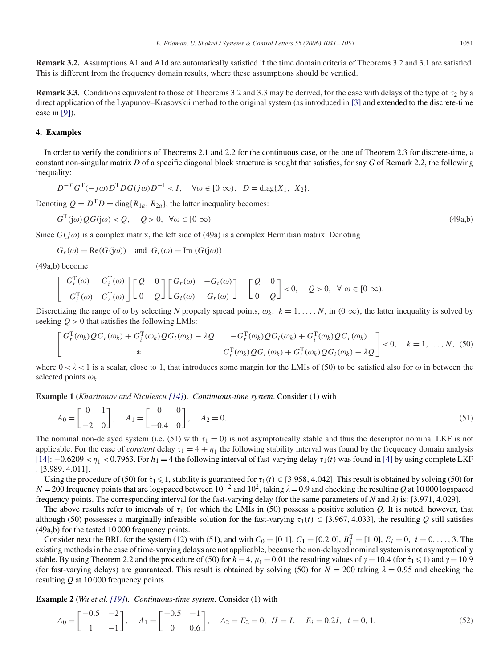**Remark 3.2.** Assumptions A1 and A1d are automatically satisfied if the time domain criteria of Theorems 3.2 and 3.1 are satisfied. This is different from the frequency domain results, where these assumptions should be verified.

**Remark 3.3.** Conditions equivalent to those of Theorems 3.2 and 3.3 may be derived, for the case with delays of the type of  $\tau_2$  by a direct application of the Lyapunov–Krasovskii method to the original system (as introduced in [\[3\]](#page-11-0) and extended to the discrete-time case in [\[9\]\)](#page-11-0).

# **4. Examples**

In order to verify the conditions of Theorems 2.1 and 2.2 for the continuous case, or the one of Theorem 2.3 for discrete-time, a constant non-singular matrix *D* of a specific diagonal block structure is sought that satisfies, for say *G* of Remark 2.2, the following inequality:

$$
D^{-T}G^{T}(-j\omega)D^{T}DG(j\omega)D^{-1} < I, \quad \forall \omega \in [0 \infty), \ D = \text{diag}\{X_1, X_2\}.
$$

Denoting  $Q = D<sup>T</sup> D = \text{diag}\{R_{1a}, R_{2a}\}\$ , the latter inequality becomes:

$$
G^{T}(j\omega) \mathcal{Q}G(j\omega) < \mathcal{Q}, \quad \mathcal{Q} > 0, \ \forall \omega \in [0, \infty)
$$
\n
$$
\tag{49a,b}
$$

Since  $G(j\omega)$  is a complex matrix, the left side of (49a) is a complex Hermitian matrix. Denoting

$$
G_r(\omega) = \text{Re}(G(j\omega))
$$
 and  $G_i(\omega) = \text{Im}(G(j\omega))$ 

(49a,b) become

$$
\begin{bmatrix} G_r^{\rm T}(\omega) & G_i^{\rm T}(\omega) \\ -G_i^{\rm T}(\omega) & G_r^{\rm T}(\omega) \end{bmatrix} \begin{bmatrix} Q & 0 \\ 0 & Q \end{bmatrix} \begin{bmatrix} G_r(\omega) & -G_i(\omega) \\ G_i(\omega) & G_r(\omega) \end{bmatrix} - \begin{bmatrix} Q & 0 \\ 0 & Q \end{bmatrix} < 0, \quad Q > 0, \ \forall \omega \in [0 \infty).
$$

Discretizing the range of  $\omega$  by selecting *N* properly spread points,  $\omega_k$ ,  $k = 1, \ldots, N$ , in  $(0, \infty)$ , the latter inequality is solved by seeking  $Q > 0$  that satisfies the following LMIs:

$$
\begin{bmatrix}\nG_r^T(\omega_k)QG_r(\omega_k) + G_i^T(\omega_k)QG_i(\omega_k) - \lambda Q & -G_r^T(\omega_k)QG_i(\omega_k) + G_i^T(\omega_k)QG_r(\omega_k) \\
\ast & G_r^T(\omega_k)QG_r(\omega_k) + G_i^T(\omega_k)QG_i(\omega_k) - \lambda Q\n\end{bmatrix} < 0, \quad k = 1, \ldots, N, (50)
$$

where  $0 < \lambda < 1$  is a scalar, close to 1, that introduces some margin for the LMIs of (50) to be satisfied also for  $\omega$  in between the selected points  $\omega_k$ .

**Example 1** (*Kharitonov and Niculescu [\[14\]](#page-12-0)*). *Continuous-time system*. Consider (1) with

$$
A_0 = \begin{bmatrix} 0 & 1 \\ -2 & 0 \end{bmatrix}, \quad A_1 = \begin{bmatrix} 0 & 0 \\ -0.4 & 0 \end{bmatrix}, \quad A_2 = 0.
$$
 (51)

The nominal non-delayed system (i.e. (51) with  $\tau_1 = 0$ ) is not asymptotically stable and thus the descriptor nominal LKF is not applicable. For the case of *constant* delay  $\tau_1 = 4 + \eta_1$  the following stability interval was found by the frequency domain analysis [\[14\]:](#page-12-0)  $-0.6209 < \eta_1 < 0.7963$ . For  $h_1 = 4$  the following interval of fast-varying delay  $\tau_1(t)$  was found in [\[4\]](#page-11-0) by using complete LKF : [3*.*989*,* 4*.*011].

Using the procedure of (50) for  $\tau_1 \leq 1$ , stability is guaranteed for  $\tau_1(t) \in [3.958, 4.042]$ . This result is obtained by solving (50) for *N* = 200 frequency points that are logspaced between  $10^{-2}$  and  $10^{2}$ , taking  $\lambda$  = 0.9 and checking the resulting *Q* at 10 000 logspaced frequency points. The corresponding interval for the fast-varying delay (for the same parameters of *N* and  $\lambda$ ) is: [3.971*,* 4.029].

The above results refer to intervals of  $\tau_1$  for which the LMIs in (50) possess a positive solution *Q*. It is noted, however, that although (50) possesses a marginally infeasible solution for the fast-varying  $\tau_1(t) \in [3.967, 4.033]$ , the resulting *Q* still satisfies (49a,b) for the tested 10 000 frequency points.

Consider next the BRL for the system (12) with (51), and with  $C_0 = [0 \ 1]$ ,  $C_1 = [0.2 \ 0]$ ,  $B_1^T = [1 \ 0]$ ,  $E_i = 0$ ,  $i = 0, \ldots, 3$ . The existing methods in the case of time-varying delays are not applicable, because the non-delayed nominal system is not asymptotically stable. By using Theorem 2.2 and the procedure of (50) for  $h=4$ ,  $\mu_1=0.01$  the resulting values of  $\gamma =10.4$  (for  $\dot{\tau}_1 \le 1$ ) and  $\gamma =10.9$ (for fast-varying delays) are guaranteed. This result is obtained by solving (50) for  $N = 200$  taking  $\lambda = 0.95$  and checking the resulting *Q* at 10 000 frequency points.

**Example 2** (*Wu et al. [\[19\]](#page-12-0)*). *Continuous-time system*. Consider (1) with

$$
A_0 = \begin{bmatrix} -0.5 & -2 \\ 1 & -1 \end{bmatrix}, \quad A_1 = \begin{bmatrix} -0.5 & -1 \\ 0 & 0.6 \end{bmatrix}, \quad A_2 = E_2 = 0, \ H = I, \quad E_i = 0.2I, \ i = 0, 1.
$$
 (52)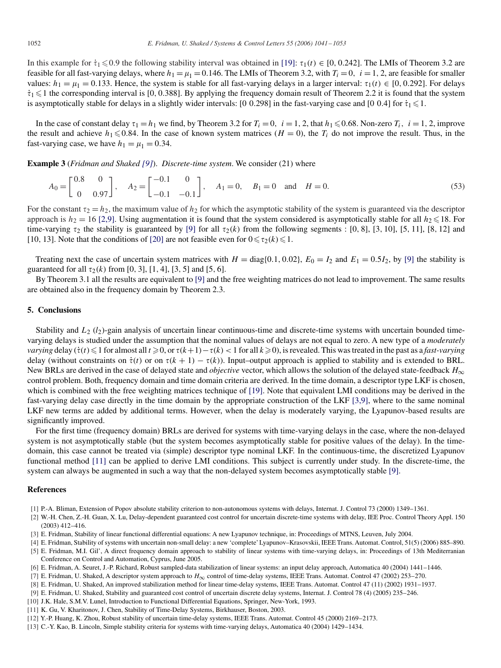<span id="page-11-0"></span>In this example for  $\dot{\tau}_1 \leq 0.9$  the following stability interval was obtained in [\[19\]:](#page-12-0)  $\tau_1(t) \in [0, 0.242]$ . The LMIs of Theorem 3.2 are feasible for all fast-varying delays, where  $h_1 = \mu_1 = 0.146$ . The LMIs of Theorem 3.2, with  $T_i = 0$ ,  $i = 1, 2$ , are feasible for smaller values:  $h_1 = \mu_1 = 0.133$ . Hence, the system is stable for all fast-varying delays in a larger interval:  $\tau_1(t) \in [0, 0.292]$ . For delays  $\dot{\tau}_1 \leq 1$  the corresponding interval is [0, 0.388]. By applying the frequency domain result of Theorem 2.2 it is found that the system is asymptotically stable for delays in a slightly wider intervals: [0 0.298] in the fast-varying case and [0 0.4] for  $\dot{\tau}_1 \leq 1$ .

In the case of constant delay  $\tau_1 = h_1$  we find, by Theorem 3.2 for  $T_i = 0$ ,  $i = 1, 2$ , that  $h_1 \le 0.68$ . Non-zero  $T_i$ ,  $i = 1, 2$ , improve the result and achieve  $h_1 \le 0.84$ . In the case of known system matrices  $(H = 0)$ , the  $T_i$  do not improve the result. Thus, in the fast-varying case, we have  $h_1 = \mu_1 = 0.34$ .

**Example 3** (*Fridman and Shaked [9]*). *Discrete-time system*. We consider (21) where

$$
A_0 = \begin{bmatrix} 0.8 & 0 \\ 0 & 0.97 \end{bmatrix}, \quad A_2 = \begin{bmatrix} -0.1 & 0 \\ -0.1 & -0.1 \end{bmatrix}, \quad A_1 = 0, \quad B_1 = 0 \quad \text{and} \quad H = 0.
$$
 (53)

For the constant  $\tau_2 = h_2$ , the maximum value of  $h_2$  for which the asymptotic stability of the system is guaranteed via the descriptor approach is  $h_2 = 16$  [2,9]. Using augmentation it is found that the system considered is asymptotically stable for all  $h_2 \le 18$ . For time-varying  $\tau_2$  the stability is guaranteed by [9] for all  $\tau_2(k)$  from the following segments : [0, 8], [3, 10], [5, 11], [8, 12] and [10, 13]. Note that the conditions of [\[20\]](#page-12-0) are not feasible even for  $0 \le \tau_2(k) \le 1$ .

Treating next the case of uncertain system matrices with  $H = \text{diag}\{0.1, 0.02\}$ ,  $E_0 = I_2$  and  $E_1 = 0.5I_2$ , by [9] the stability is guaranteed for all  $\tau_2(k)$  from [0, 3], [1, 4], [3, 5] and [5, 6].

By Theorem 3.1 all the results are equivalent to [9] and the free weighting matrices do not lead to improvement. The same results are obtained also in the frequency domain by Theorem 2.3.

# **5. Conclusions**

Stability and *L*<sub>2</sub> (*l*<sub>2</sub>)-gain analysis of uncertain linear continuous-time and discrete-time systems with uncertain bounded timevarying delays is studied under the assumption that the nominal values of delays are not equal to zero. A new type of a *moderately varying* delay ( $\dot{\tau}(t) \leq 1$  for almost all  $t \geq 0$ , or  $\tau(k+1) - \tau(k) < 1$  for all  $k \geq 0$ ), is revealed. This was treated in the past as a *fast-varying* delay (without constraints on  $\dot{\tau}(t)$  or on  $\tau(k + 1) - \tau(k)$ ). Input–output approach is applied to stability and is extended to BRL. New BRLs are derived in the case of delayed state and *objective* vector, which allows the solution of the delayed state-feedback *H*<sup>∞</sup> control problem. Both, frequency domain and time domain criteria are derived. In the time domain, a descriptor type LKF is chosen, which is combined with the free weighting matrices technique of [\[19\].](#page-12-0) Note that equivalent LMI conditions may be derived in the fast-varying delay case directly in the time domain by the appropriate construction of the LKF [3,9], where to the same nominal LKF new terms are added by additional terms. However, when the delay is moderately varying, the Lyapunov-based results are significantly improved.

For the first time (frequency domain) BRLs are derived for systems with time-varying delays in the case, where the non-delayed system is not asymptotically stable (but the system becomes asymptotically stable for positive values of the delay). In the timedomain, this case cannot be treated via (simple) descriptor type nominal LKF. In the continuous-time, the discretized Lyapunov functional method [11] can be applied to derive LMI conditions. This subject is currently under study. In the discrete-time, the system can always be augmented in such a way that the non-delayed system becomes asymptotically stable [9].

## **References**

- [1] P.-A. Bliman, Extension of Popov absolute stability criterion to non-autonomous systems with delays, Internat. J. Control 73 (2000) 1349–1361.
- [2] W.-H. Chen, Z.-H. Guan, X. Lu, Delay-dependent guaranteed cost control for uncertain discrete-time systems with delay, IEE Proc. Control Theory Appl. 150 (2003) 412–416.
- [3] E. Fridman, Stability of linear functional differential equations: A new Lyapunov technique, in: Proceedings of MTNS, Leuven, July 2004.
- [4] E. Fridman, Stability of systems with uncertain non-small delay: a new 'complete' Lyapunov–Krasovskii, IEEE Trans. Automat. Control, 51(5) (2006) 885–890.
- [5] E. Fridman, M.I. Gil', A direct frequency domain approach to stability of linear systems with time-varying delays, in: Proceedings of 13th Mediterranian Conference on Control and Automation, Cyprus, June 2005.
- [6] E. Fridman, A. Seuret, J.-P. Richard, Robust sampled-data stabilization of linear systems: an input delay approach, Automatica 40 (2004) 1441–1446.
- [7] E. Fridman, U. Shaked, A descriptor system approach to *H*<sup>∞</sup> control of time-delay systems, IEEE Trans. Automat. Control 47 (2002) 253–270.
- [8] E. Fridman, U. Shaked, An improved stabilization method for linear time-delay systems, IEEE Trans. Automat. Control 47 (11) (2002) 1931–1937.
- [9] E. Fridman, U. Shaked, Stability and guaranteed cost control of uncertain discrete delay systems, Internat. J. Control 78 (4) (2005) 235–246.
- [10] J.K. Hale, S.M.V. Lunel, Introduction to Functional Differential Equations, Springer, New-York, 1993.
- [11] K. Gu, V. Kharitonov, J. Chen, Stability of Time-Delay Systems, Birkhauser, Boston, 2003.
- [12] Y.-P. Huang, K. Zhou, Robust stability of uncertain time-delay systems, IEEE Trans. Automat. Control 45 (2000) 2169–2173.
- [13] C.-Y. Kao, B. Lincoln, Simple stability criteria for systems with time-varying delays, Automatica 40 (2004) 1429–1434.